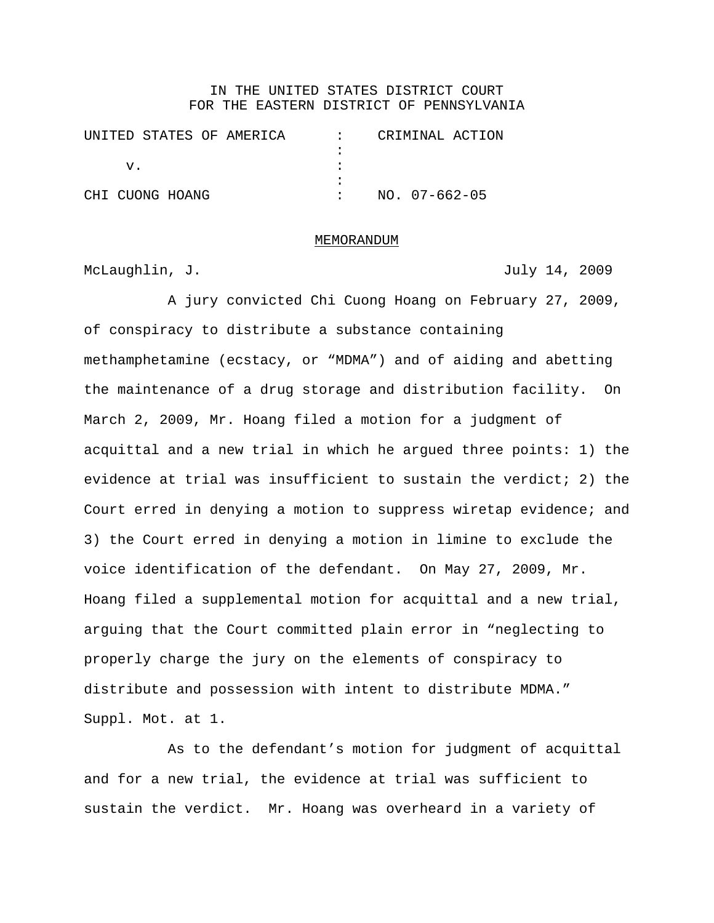## IN THE UNITED STATES DISTRICT COURT FOR THE EASTERN DISTRICT OF PENNSYLVANIA

|    | UNITED STATES OF AMERICA |  |  | CRIMINAL ACTION |  |
|----|--------------------------|--|--|-----------------|--|
|    |                          |  |  |                 |  |
| v. |                          |  |  |                 |  |
|    |                          |  |  |                 |  |
|    | CHI CUONG HOANG          |  |  | $NO. 07-662-05$ |  |

#### MEMORANDUM

McLaughlin, J.  $J$ .

A jury convicted Chi Cuong Hoang on February 27, 2009, of conspiracy to distribute a substance containing methamphetamine (ecstacy, or "MDMA") and of aiding and abetting the maintenance of a drug storage and distribution facility. On March 2, 2009, Mr. Hoang filed a motion for a judgment of acquittal and a new trial in which he argued three points: 1) the evidence at trial was insufficient to sustain the verdict; 2) the Court erred in denying a motion to suppress wiretap evidence; and 3) the Court erred in denying a motion in limine to exclude the voice identification of the defendant. On May 27, 2009, Mr. Hoang filed a supplemental motion for acquittal and a new trial, arguing that the Court committed plain error in "neglecting to properly charge the jury on the elements of conspiracy to distribute and possession with intent to distribute MDMA." Suppl. Mot. at 1.

As to the defendant's motion for judgment of acquittal and for a new trial, the evidence at trial was sufficient to sustain the verdict. Mr. Hoang was overheard in a variety of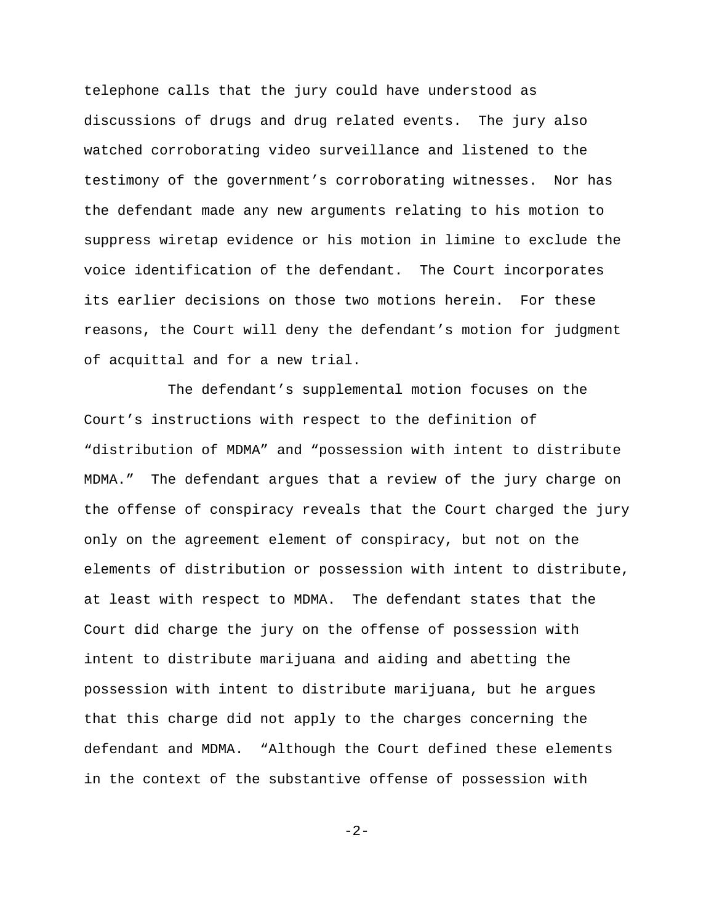telephone calls that the jury could have understood as discussions of drugs and drug related events. The jury also watched corroborating video surveillance and listened to the testimony of the government's corroborating witnesses. Nor has the defendant made any new arguments relating to his motion to suppress wiretap evidence or his motion in limine to exclude the voice identification of the defendant. The Court incorporates its earlier decisions on those two motions herein. For these reasons, the Court will deny the defendant's motion for judgment of acquittal and for a new trial.

The defendant's supplemental motion focuses on the Court's instructions with respect to the definition of "distribution of MDMA" and "possession with intent to distribute MDMA." The defendant argues that a review of the jury charge on the offense of conspiracy reveals that the Court charged the jury only on the agreement element of conspiracy, but not on the elements of distribution or possession with intent to distribute, at least with respect to MDMA. The defendant states that the Court did charge the jury on the offense of possession with intent to distribute marijuana and aiding and abetting the possession with intent to distribute marijuana, but he argues that this charge did not apply to the charges concerning the defendant and MDMA. "Although the Court defined these elements in the context of the substantive offense of possession with

 $-2-$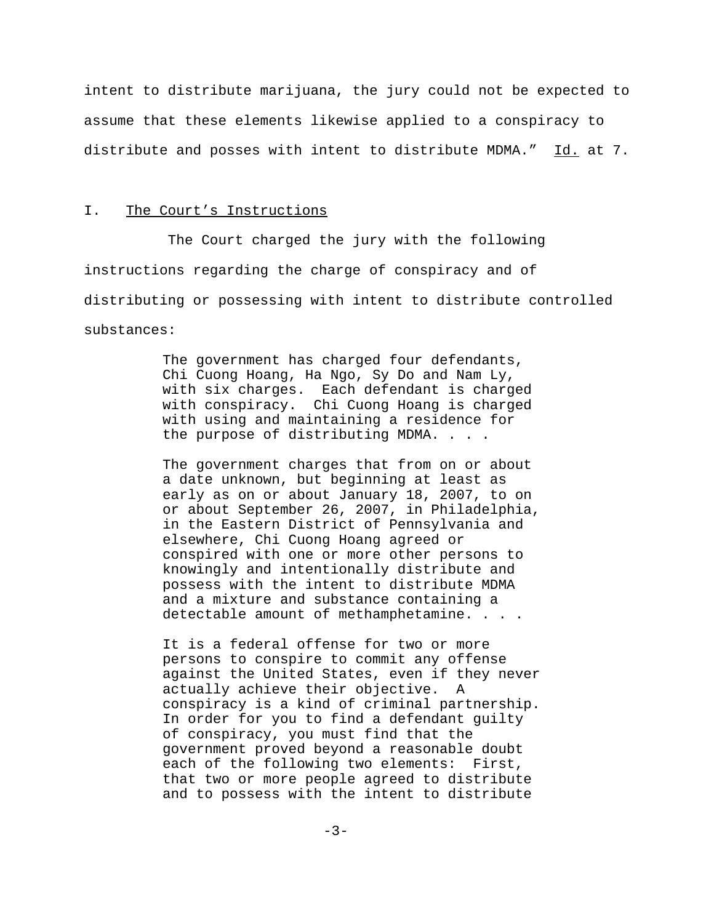intent to distribute marijuana, the jury could not be expected to assume that these elements likewise applied to a conspiracy to distribute and posses with intent to distribute MDMA." Id. at 7.

## I. The Court's Instructions

The Court charged the jury with the following instructions regarding the charge of conspiracy and of distributing or possessing with intent to distribute controlled substances:

> The government has charged four defendants, Chi Cuong Hoang, Ha Ngo, Sy Do and Nam Ly, with six charges. Each defendant is charged with conspiracy. Chi Cuong Hoang is charged with using and maintaining a residence for the purpose of distributing MDMA. . . .

The government charges that from on or about a date unknown, but beginning at least as early as on or about January 18, 2007, to on or about September 26, 2007, in Philadelphia, in the Eastern District of Pennsylvania and elsewhere, Chi Cuong Hoang agreed or conspired with one or more other persons to knowingly and intentionally distribute and possess with the intent to distribute MDMA and a mixture and substance containing a detectable amount of methamphetamine. . . .

It is a federal offense for two or more persons to conspire to commit any offense against the United States, even if they never actually achieve their objective. A conspiracy is a kind of criminal partnership. In order for you to find a defendant guilty of conspiracy, you must find that the government proved beyond a reasonable doubt each of the following two elements: First, that two or more people agreed to distribute and to possess with the intent to distribute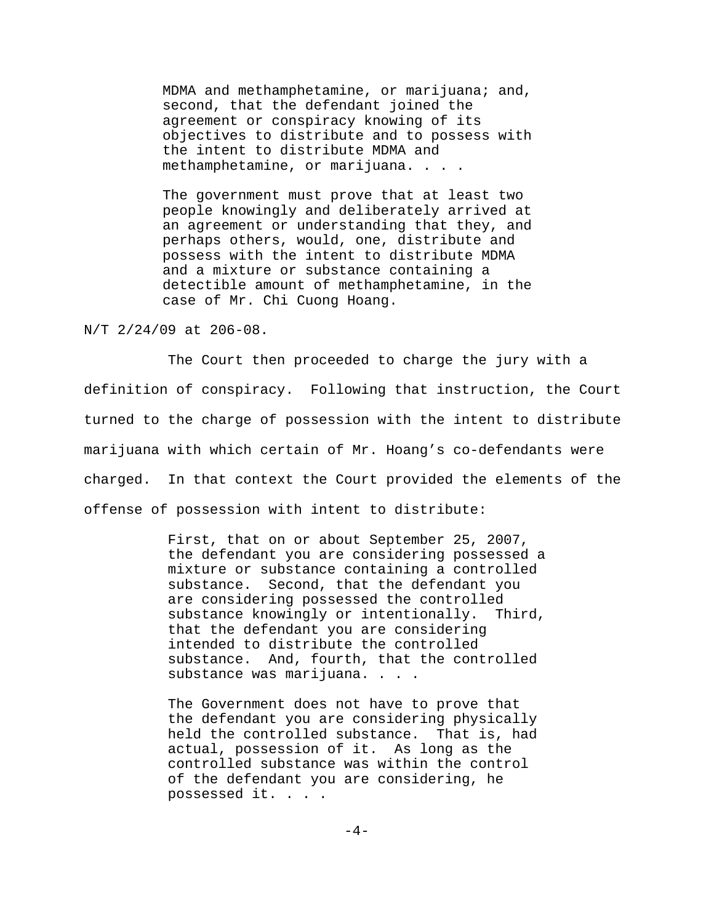MDMA and methamphetamine, or marijuana; and, second, that the defendant joined the agreement or conspiracy knowing of its objectives to distribute and to possess with the intent to distribute MDMA and methamphetamine, or marijuana. . . .

The government must prove that at least two people knowingly and deliberately arrived at an agreement or understanding that they, and perhaps others, would, one, distribute and possess with the intent to distribute MDMA and a mixture or substance containing a detectible amount of methamphetamine, in the case of Mr. Chi Cuong Hoang.

# N/T 2/24/09 at 206-08.

The Court then proceeded to charge the jury with a definition of conspiracy. Following that instruction, the Court turned to the charge of possession with the intent to distribute marijuana with which certain of Mr. Hoang's co-defendants were charged. In that context the Court provided the elements of the offense of possession with intent to distribute:

> First, that on or about September 25, 2007, the defendant you are considering possessed a mixture or substance containing a controlled substance. Second, that the defendant you are considering possessed the controlled substance knowingly or intentionally. Third, that the defendant you are considering intended to distribute the controlled substance. And, fourth, that the controlled substance was marijuana. . . .

The Government does not have to prove that the defendant you are considering physically held the controlled substance. That is, had actual, possession of it. As long as the controlled substance was within the control of the defendant you are considering, he possessed it. . . .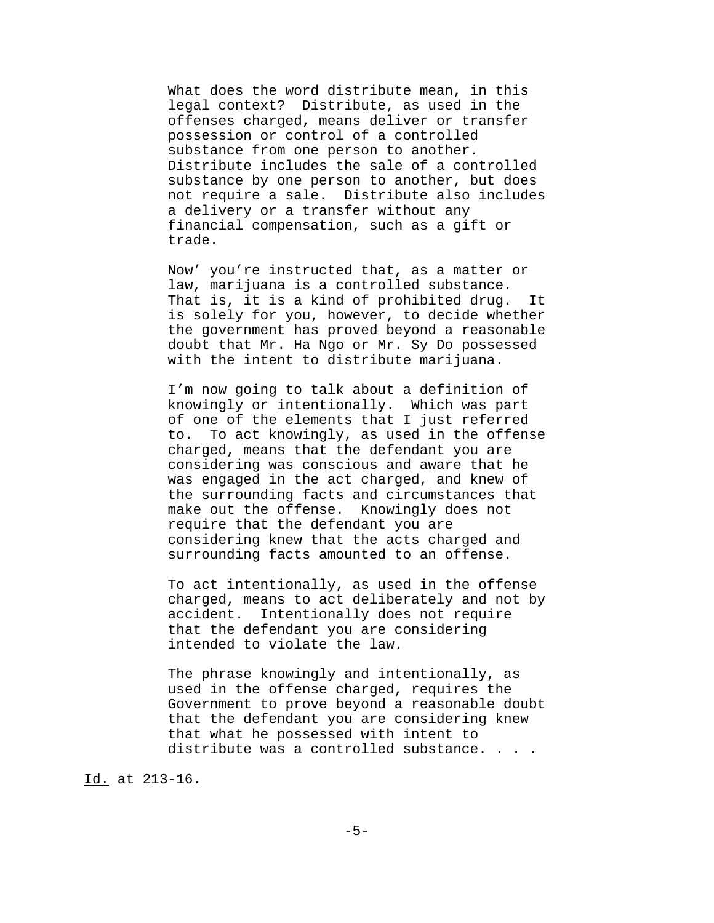What does the word distribute mean, in this legal context? Distribute, as used in the offenses charged, means deliver or transfer possession or control of a controlled substance from one person to another. Distribute includes the sale of a controlled substance by one person to another, but does not require a sale. Distribute also includes a delivery or a transfer without any financial compensation, such as a gift or trade.

Now' you're instructed that, as a matter or law, marijuana is a controlled substance. That is, it is a kind of prohibited drug. It is solely for you, however, to decide whether the government has proved beyond a reasonable doubt that Mr. Ha Ngo or Mr. Sy Do possessed with the intent to distribute marijuana.

I'm now going to talk about a definition of knowingly or intentionally. Which was part of one of the elements that I just referred to. To act knowingly, as used in the offense charged, means that the defendant you are considering was conscious and aware that he was engaged in the act charged, and knew of the surrounding facts and circumstances that make out the offense. Knowingly does not require that the defendant you are considering knew that the acts charged and surrounding facts amounted to an offense.

To act intentionally, as used in the offense charged, means to act deliberately and not by accident. Intentionally does not require that the defendant you are considering intended to violate the law.

The phrase knowingly and intentionally, as used in the offense charged, requires the Government to prove beyond a reasonable doubt that the defendant you are considering knew that what he possessed with intent to distribute was a controlled substance..

Id. at 213-16.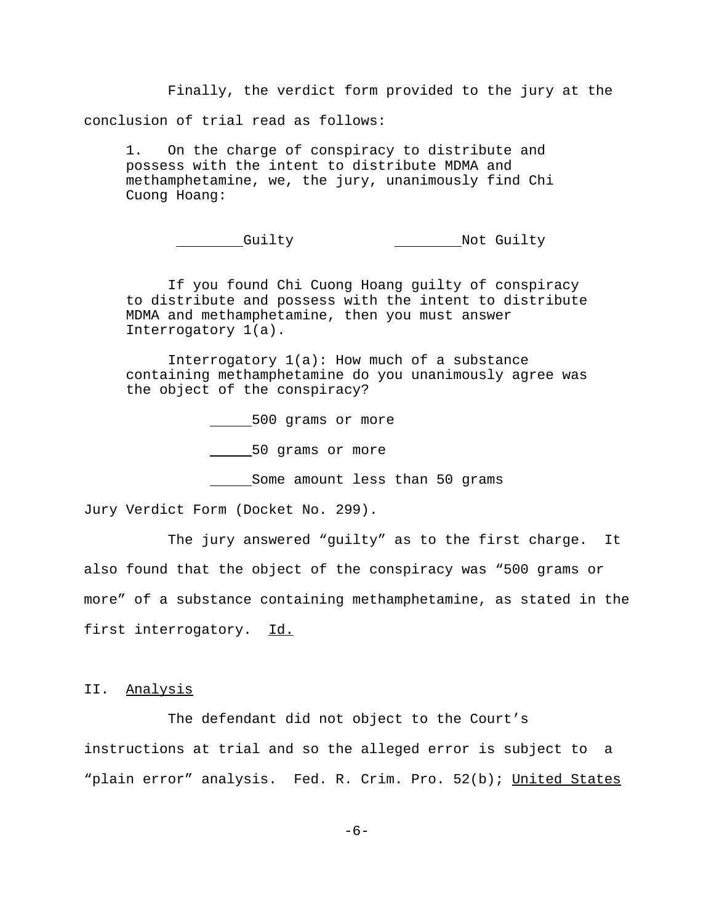Finally, the verdict form provided to the jury at the conclusion of trial read as follows:

1. On the charge of conspiracy to distribute and possess with the intent to distribute MDMA and methamphetamine, we, the jury, unanimously find Chi Cuong Hoang:

Guilty **Not Guilty** Not Guilty

If you found Chi Cuong Hoang guilty of conspiracy to distribute and possess with the intent to distribute MDMA and methamphetamine, then you must answer Interrogatory 1(a).

Interrogatory 1(a): How much of a substance containing methamphetamine do you unanimously agree was the object of the conspiracy?

500 grams or more

50 grams or more

Some amount less than 50 grams

Jury Verdict Form (Docket No. 299).

The jury answered "guilty" as to the first charge. It also found that the object of the conspiracy was "500 grams or more" of a substance containing methamphetamine, as stated in the first interrogatory. Id.

II. Analysis

The defendant did not object to the Court's instructions at trial and so the alleged error is subject to a "plain error" analysis. Fed. R. Crim. Pro. 52(b); United States

-6-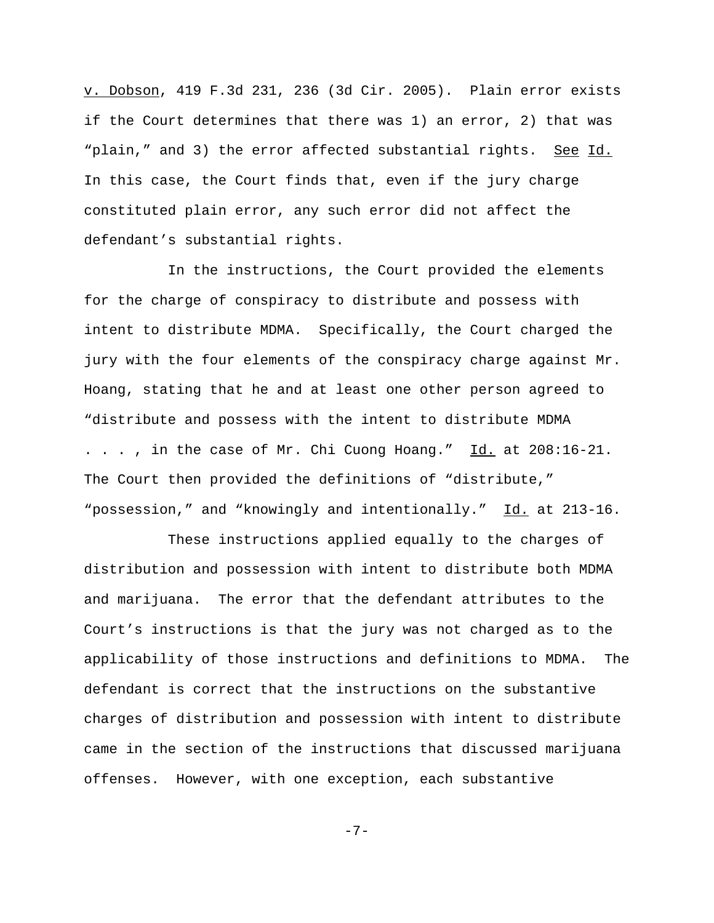v. Dobson, 419 F.3d 231, 236 (3d Cir. 2005). Plain error exists if the Court determines that there was 1) an error, 2) that was "plain," and 3) the error affected substantial rights. See Id. In this case, the Court finds that, even if the jury charge constituted plain error, any such error did not affect the defendant's substantial rights.

In the instructions, the Court provided the elements for the charge of conspiracy to distribute and possess with intent to distribute MDMA. Specifically, the Court charged the jury with the four elements of the conspiracy charge against Mr. Hoang, stating that he and at least one other person agreed to "distribute and possess with the intent to distribute MDMA . . . , in the case of Mr. Chi Cuong Hoang." Id. at 208:16-21. The Court then provided the definitions of "distribute," "possession," and "knowingly and intentionally." Id. at 213-16.

These instructions applied equally to the charges of distribution and possession with intent to distribute both MDMA and marijuana. The error that the defendant attributes to the Court's instructions is that the jury was not charged as to the applicability of those instructions and definitions to MDMA. The defendant is correct that the instructions on the substantive charges of distribution and possession with intent to distribute came in the section of the instructions that discussed marijuana offenses. However, with one exception, each substantive

-7-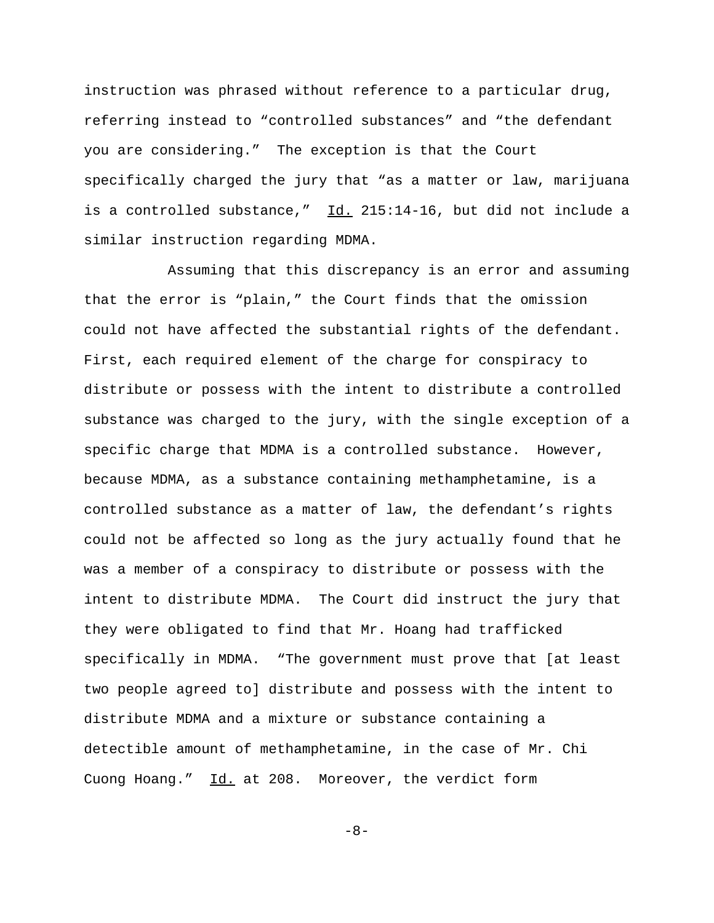instruction was phrased without reference to a particular drug, referring instead to "controlled substances" and "the defendant you are considering." The exception is that the Court specifically charged the jury that "as a matter or law, marijuana is a controlled substance," Id. 215:14-16, but did not include a similar instruction regarding MDMA.

Assuming that this discrepancy is an error and assuming that the error is "plain," the Court finds that the omission could not have affected the substantial rights of the defendant. First, each required element of the charge for conspiracy to distribute or possess with the intent to distribute a controlled substance was charged to the jury, with the single exception of a specific charge that MDMA is a controlled substance. However, because MDMA, as a substance containing methamphetamine, is a controlled substance as a matter of law, the defendant's rights could not be affected so long as the jury actually found that he was a member of a conspiracy to distribute or possess with the intent to distribute MDMA. The Court did instruct the jury that they were obligated to find that Mr. Hoang had trafficked specifically in MDMA. "The government must prove that [at least two people agreed to] distribute and possess with the intent to distribute MDMA and a mixture or substance containing a detectible amount of methamphetamine, in the case of Mr. Chi Cuong Hoang." Id. at 208. Moreover, the verdict form

-8-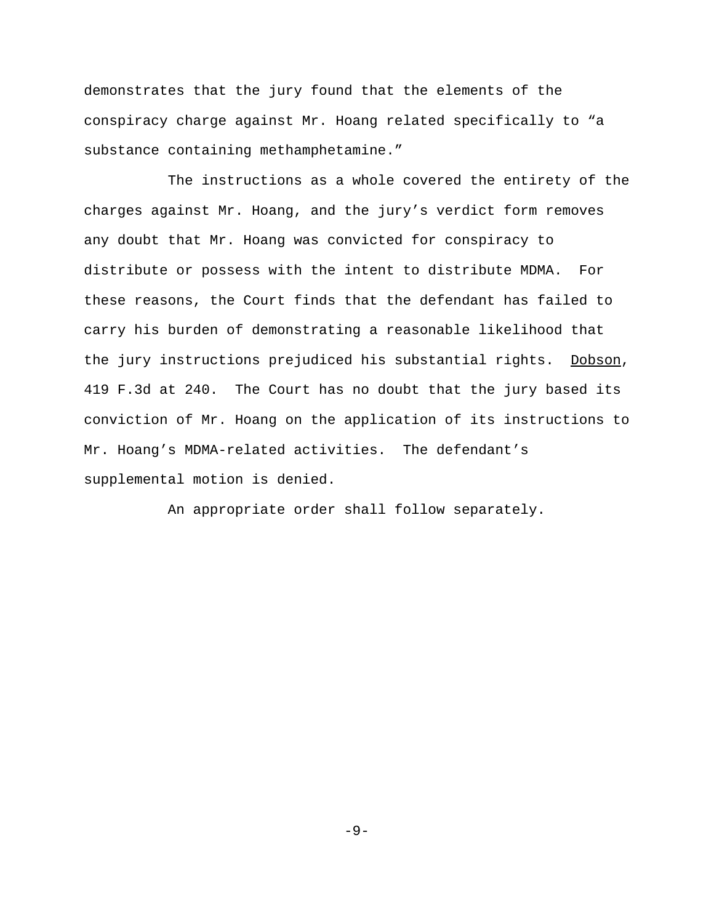demonstrates that the jury found that the elements of the conspiracy charge against Mr. Hoang related specifically to "a substance containing methamphetamine."

The instructions as a whole covered the entirety of the charges against Mr. Hoang, and the jury's verdict form removes any doubt that Mr. Hoang was convicted for conspiracy to distribute or possess with the intent to distribute MDMA. For these reasons, the Court finds that the defendant has failed to carry his burden of demonstrating a reasonable likelihood that the jury instructions prejudiced his substantial rights. Dobson, 419 F.3d at 240. The Court has no doubt that the jury based its conviction of Mr. Hoang on the application of its instructions to Mr. Hoang's MDMA-related activities. The defendant's supplemental motion is denied.

An appropriate order shall follow separately.